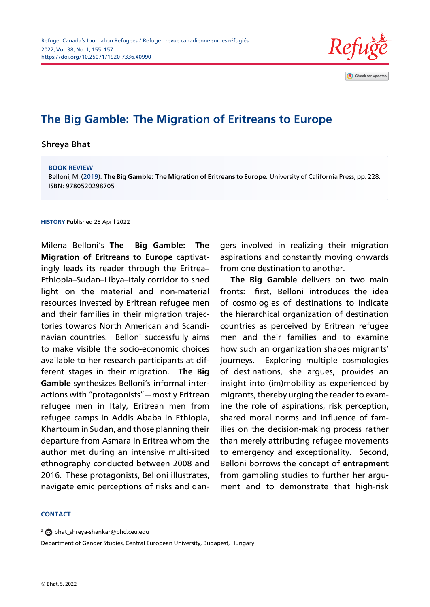

# **The Big Gamble: The Migration of Eritreans to Europe**

Shreya Bhat

#### **BOOK REVIEW**

Belloni, M. (2019). **The Big Gamble: The Migration of Eritreans to Europe**. University of California Press, pp. 228. ISBN: 9780520298705

**HISTORY** Published 28 April 2022

Milena Belloni's **The Big Gamble: The Migration of Eritreans to Europe** captivatingly leads its reader through the Eritrea– Ethiopia–Sudan–Libya–Italy corridor to shed light on the material and non-material resources invested by Eritrean refugee men and their families in their migration trajectories towards North American and Scandinavian countries. Belloni successfully aims to make visible the socio-economic choices available to her research participants at different stages in their migration. **The Big Gamble** synthesizes Belloni's informal interactions with "protagonists"—mostly Eritrean refugee men in Italy, Eritrean men from refugee camps in Addis Ababa in Ethiopia, Khartoum in Sudan, and those planning their departure from Asmara in Eritrea whom the author met during an intensive multi-sited ethnography conducted between 2008 and 2016. These protagonists, Belloni illustrates, navigate emic perceptions of risks and dangers involved in realizing their migration aspirations and constantly moving onwards from one destination to another.

**The Big Gamble** delivers on two main fronts: first, Belloni introduces the idea of cosmologies of destinations to indicate the hierarchical organization of destination countries as perceived by Eritrean refugee men and their families and to examine how such an organization shapes migrants' journeys. Exploring multiple cosmologies of destinations, she argues, provides an insight into (im)mobility as experienced by migrants, thereby urging the reader to examine the role of aspirations, risk perception, shared moral norms and influence of families on the decision-making process rather than merely attributing refugee movements to emergency and exceptionality. Second, Belloni borrows the concept of **entrapment** from gambling studies to further her argument and to demonstrate that high-risk

#### **CONTACT**

**<sup>a</sup>** bhat\_shreya-shankar@phd.ceu.edu

Department of Gender Studies, Central European University, Budapest, Hungary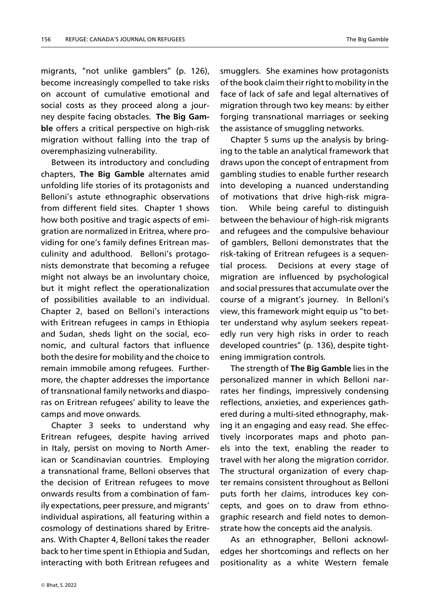migrants, "not unlike gamblers" (p. 126), become increasingly compelled to take risks on account of cumulative emotional and social costs as they proceed along a journey despite facing obstacles. **The Big Gamble** offers a critical perspective on high-risk migration without falling into the trap of overemphasizing vulnerability.

Between its introductory and concluding chapters, **The Big Gamble** alternates amid unfolding life stories of its protagonists and Belloni's astute ethnographic observations from different field sites. Chapter 1 shows how both positive and tragic aspects of emigration are normalized in Eritrea, where providing for one's family defines Eritrean masculinity and adulthood. Belloni's protagonists demonstrate that becoming a refugee might not always be an involuntary choice, but it might reflect the operationalization of possibilities available to an individual. Chapter 2, based on Belloni's interactions with Eritrean refugees in camps in Ethiopia and Sudan, sheds light on the social, economic, and cultural factors that influence both the desire for mobility and the choice to remain immobile among refugees. Furthermore, the chapter addresses the importance of transnational family networks and diasporas on Eritrean refugees' ability to leave the camps and move onwards.

Chapter 3 seeks to understand why Eritrean refugees, despite having arrived in Italy, persist on moving to North American or Scandinavian countries. Employing a transnational frame, Belloni observes that the decision of Eritrean refugees to move onwards results from a combination of family expectations, peer pressure, and migrants' individual aspirations, all featuring within a cosmology of destinations shared by Eritreans. With Chapter 4, Belloni takes the reader back to her time spent in Ethiopia and Sudan, interacting with both Eritrean refugees and

smugglers. She examines how protagonists of the book claim their right to mobility in the face of lack of safe and legal alternatives of migration through two key means: by either forging transnational marriages or seeking the assistance of smuggling networks.

Chapter 5 sums up the analysis by bringing to the table an analytical framework that draws upon the concept of entrapment from gambling studies to enable further research into developing a nuanced understanding of motivations that drive high-risk migration. While being careful to distinguish between the behaviour of high-risk migrants and refugees and the compulsive behaviour of gamblers, Belloni demonstrates that the risk-taking of Eritrean refugees is a sequential process. Decisions at every stage of migration are influenced by psychological and social pressures that accumulate over the course of a migrant's journey. In Belloni's view, this framework might equip us "to better understand why asylum seekers repeatedly run very high risks in order to reach developed countries" (p. 136), despite tightening immigration controls.

The strength of **The Big Gamble** lies in the personalized manner in which Belloni narrates her findings, impressively condensing reflections, anxieties, and experiences gathered during a multi-sited ethnography, making it an engaging and easy read. She effectively incorporates maps and photo panels into the text, enabling the reader to travel with her along the migration corridor. The structural organization of every chapter remains consistent throughout as Belloni puts forth her claims, introduces key concepts, and goes on to draw from ethnographic research and field notes to demonstrate how the concepts aid the analysis.

As an ethnographer, Belloni acknowledges her shortcomings and reflects on her positionality as a white Western female